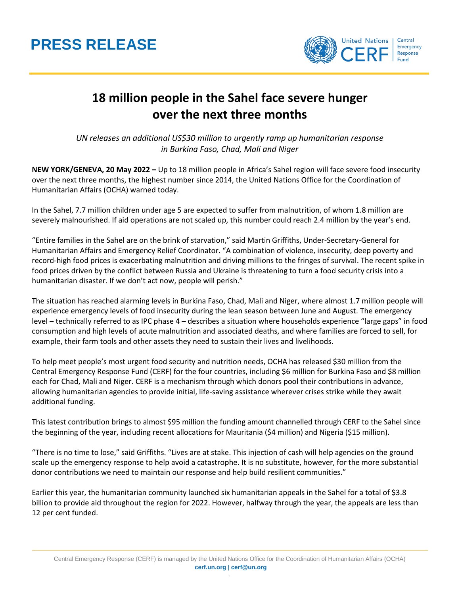## **PRESS RELEASE**



## **18 million people in the Sahel face severe hunger over the next three months**

*UN releases an additional US\$30 million to urgently ramp up humanitarian response in Burkina Faso, Chad, Mali and Niger*

**NEW YORK/GENEVA, 20 May 2022 –** Up to 18 million people in Africa's Sahel region will face severe food insecurity over the next three months, the highest number since 2014, the United Nations Office for the Coordination of Humanitarian Affairs (OCHA) warned today.

In the Sahel, 7.7 million children under age 5 are expected to suffer from malnutrition, of whom 1.8 million are severely malnourished. If aid operations are not scaled up, this number could reach 2.4 million by the year's end.

"Entire families in the Sahel are on the brink of starvation," said Martin Griffiths, Under-Secretary-General for Humanitarian Affairs and Emergency Relief Coordinator. "A combination of violence, insecurity, deep poverty and record-high food prices is exacerbating malnutrition and driving millions to the fringes of survival. The recent spike in food prices driven by the conflict between Russia and Ukraine is threatening to turn a food security crisis into a humanitarian disaster. If we don't act now, people will perish."

The situation has reached alarming levels in Burkina Faso, Chad, Mali and Niger, where almost 1.7 million people will experience emergency levels of food insecurity during the lean season between June and August. The emergency level – technically referred to as IPC phase 4 – describes a situation where households experience "large gaps" in food consumption and high levels of acute malnutrition and associated deaths, and where families are forced to sell, for example, their farm tools and other assets they need to sustain their lives and livelihoods.

To help meet people's most urgent food security and nutrition needs, OCHA has released \$30 million from the Central Emergency Response Fund (CERF) for the four countries, including \$6 million for Burkina Faso and \$8 million each for Chad, Mali and Niger. CERF is a mechanism through which donors pool their contributions in advance, allowing humanitarian agencies to provide initial, life-saving assistance wherever crises strike while they await additional funding.

This latest contribution brings to almost \$95 million the funding amount channelled through CERF to the Sahel since the beginning of the year, including recent allocations for Mauritania (\$4 million) and Nigeria (\$15 million).

"There is no time to lose," said Griffiths. "Lives are at stake. This injection of cash will help agencies on the ground scale up the emergency response to help avoid a catastrophe. It is no substitute, however, for the more substantial donor contributions we need to maintain our response and help build resilient communities."

Earlier this year, the humanitarian community launched six humanitarian appeals in the Sahel for a total of \$3.8 billion to provide aid throughout the region for 2022. However, halfway through the year, the appeals are less than 12 per cent funded.